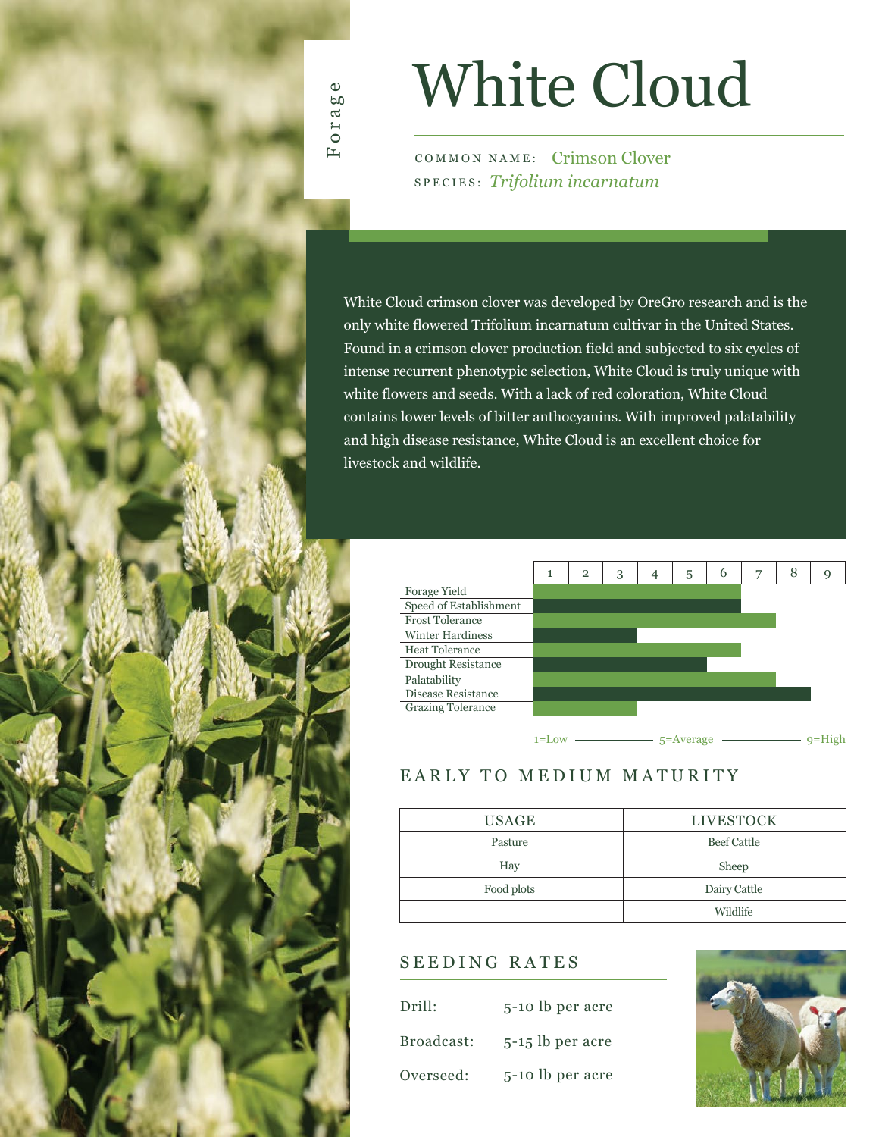

# White Cloud

COMMON NAME: Crimson Clover SPECIES: *Trifolium incarnatum*

White Cloud crimson clover was developed by OreGro research and is the only white flowered Trifolium incarnatum cultivar in the United States. Found in a crimson clover production field and subjected to six cycles of intense recurrent phenotypic selection, White Cloud is truly unique with white flowers and seeds. With a lack of red coloration, White Cloud contains lower levels of bitter anthocyanins. With improved palatability and high disease resistance, White Cloud is an excellent choice for livestock and wildlife.



## EARLY TO MEDIUM MATURITY

| <b>USAGE</b> | <b>LIVESTOCK</b>   |  |  |  |  |
|--------------|--------------------|--|--|--|--|
| Pasture      | <b>Beef Cattle</b> |  |  |  |  |
| Hay          | Sheep              |  |  |  |  |
| Food plots   | Dairy Cattle       |  |  |  |  |
|              | Wildlife           |  |  |  |  |

### SEEDING RATES

| Drill:     | 5-10 lb per acre   |
|------------|--------------------|
| Broadcast: | $5-15$ lb per acre |
| Overseed:  | 5-10 lb per acre   |